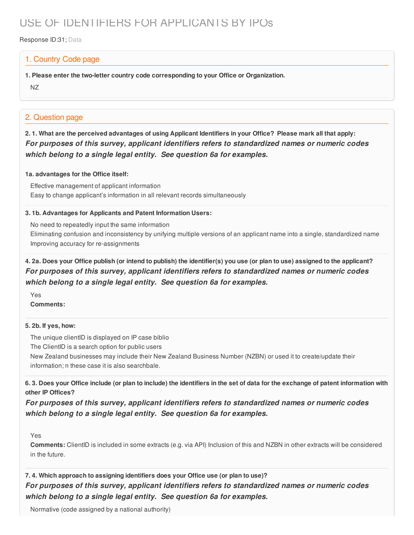# USE OF IDENTIFIERS FOR APPLICANTS BY IPOs

#### Response ID:31; Data

### 1. Country Code page

- **1. Please enter the two-letter country code corresponding to your Office or Organization.**
- NZ

### 2. Question page

2.1. What are the perceived advantages of using Applicant Identifiers in your Office? Please mark all that apply: *For purposes of this survey, applicant identifiers refers to standardized names or numeric codes which belong to a single legal entity. See question 6a for examples.*

#### **1a. advantages for the Office itself:**

Effective management of applicant information Easy to change applicant's information in all relevant records simultaneously

#### **3. 1b. Advantages for Applicants and Patent Information Users:**

No need to repeatedly input the same information

Eliminating confusion and inconsistency by unifying multiple versions of an applicant name into a single, standardized name Improving accuracy for re-assignments

### 4. 2a. Does your Office publish (or intend to publish) the identifier(s) you use (or plan to use) assigned to the applicant? *For purposes of this survey, applicant identifiers refers to standardized names or numeric codes which belong to a single legal entity. See question 6a for examples.*

Yes **Comments:**

#### **5. 2b. If yes, how:**

The unique clientID is displayed on IP case biblio

The ClientID is a search option for public users

New Zealand businesses may include their New Zealand Business Number (NZBN) or used it to create/update their information; n these case it is also searchbale.

6.3. Does your Office include (or plan to include) the identifiers in the set of data for the exchange of patent information with **other IP Offices?**

*For purposes of this survey, applicant identifiers refers to standardized names or numeric codes which belong to a single legal entity. See question 6a for examples.*

#### Yes

**Comments:** ClientID is included in some extracts (e.g. via API) Inclusion of this and NZBN in other extracts will be considered in the future.

## **7. 4. Which approach to assigning identifiers does your Office use (or plan to use)?** *For purposes of this survey, applicant identifiers refers to standardized names or numeric codes which belong to a single legal entity. See question 6a for examples.*

Normative (code assigned by a national authority)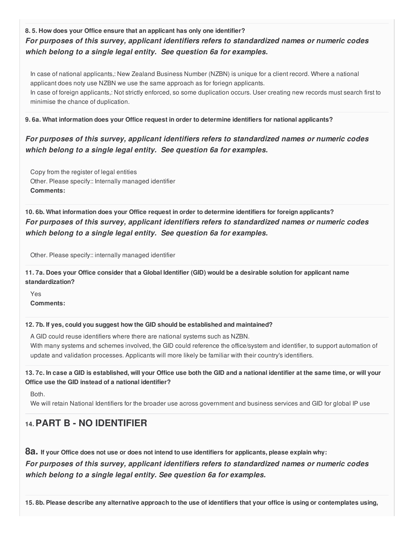**8. 5. How does your Office ensure that an applicant has only one identifier?** *For purposes of this survey, applicant identifiers refers to standardized names or numeric codes which belong to a single legal entity. See question 6a for examples.*

In case of national applicants,: New Zealand Business Number (NZBN) is unique for a client record. Where a national applicant does noty use NZBN we use the same approach as for foriegn applicants. In case of foreign applicants,: Not strictly enforced, so some duplication occurs. User creating new records must search first to minimise the chance of duplication.

#### **9. 6a. What information does your Office request in order to determine identifiers for national applicants?**

## *For purposes of this survey, applicant identifiers refers to standardized names or numeric codes which belong to a single legal entity. See question 6a for examples.*

Copy from the register of legal entities Other. Please specify:: Internally managed identifier **Comments:**

**10. 6b. What information does your Office request in order to determine identifiers for foreign applicants?** *For purposes of this survey, applicant identifiers refers to standardized names or numeric codes which belong to a single legal entity. See question 6a for examples.*

Other. Please specify:: internally managed identifier

11.7a. Does your Office consider that a Global Identifier (GID) would be a desirable solution for applicant name **standardization?**

Yes **Comments:**

#### **12. 7b. If yes, could you suggest how the GID should be established and maintained?**

A GID could reuse identifiers where there are national systems such as NZBN.

With many systems and schemes involved, the GID could reference the office/system and identifier, to support automation of update and validation processes. Applicants will more likely be familiar with their country's identifiers.

13.7c. In case a GID is established, will your Office use both the GID and a national identifier at the same time, or will your **Office use the GID instead of a national identifier?**

Both.

We will retain National Identifiers for the broader use across government and business services and GID for global IP use

# **14.PART B - NO IDENTIFIER**

8a. If your Office does not use or does not intend to use identifiers for applicants, please explain why:

*For purposes of this survey, applicant identifiers refers to standardized names or numeric codes which belong to a single legal entity. See question 6a for examples.*

15.8b. Please describe any alternative approach to the use of identifiers that your office is using or contemplates using,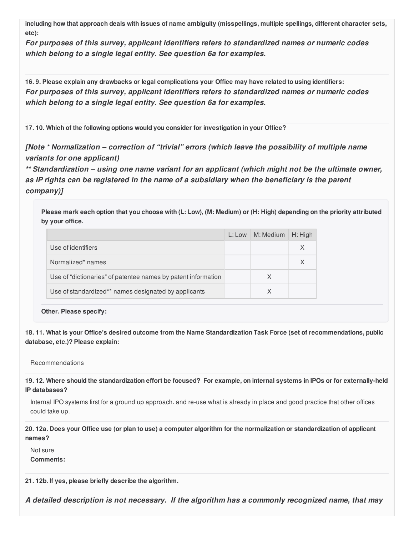including how that approach deals with issues of name ambiguity (misspellings, multiple spellings, different character sets, **etc):**

*For purposes of this survey, applicant identifiers refers to standardized names or numeric codes which belong to a single legal entity. See question 6a for examples.*

16.9. Please explain any drawbacks or legal complications your Office may have related to using identifiers: *For purposes of this survey, applicant identifiers refers to standardized names or numeric codes which belong to a single legal entity. See question 6a for examples.*

**17. 10. Which of the following options would you consider for investigation in your Office?**

*[Note \* Normalization – correction of "trivial" errors (which leave the possibility of multiple name variants for one applicant)*

*\*\* Standardization – using one name variant for an applicant (which might not be the ultimate owner, as IP rights can be registered in the name of a subsidiary when the beneficiary is the parent company)]*

Please mark each option that you choose with (L: Low), (M: Medium) or (H: High) depending on the priority attributed **by your office.**

|                                                               | L: Low   M: Medium | H: High |
|---------------------------------------------------------------|--------------------|---------|
| Use of identifiers                                            |                    |         |
| Normalized* names                                             |                    |         |
| Use of "dictionaries" of patentee names by patent information | X                  |         |
| Use of standardized** names designated by applicants          | χ                  |         |

**Other. Please specify:**

18.11. What is your Office's desired outcome from the Name Standardization Task Force (set of recommendations, public **database, etc.)? Please explain:**

Recommendations

19.12. Where should the standardization effort be focused? For example, on internal systems in IPOs or for externally-held **IP databases?**

Internal IPO systems first for a ground up approach. and re-use what is already in place and good practice that other offices could take up.

20.12a. Does your Office use (or plan to use) a computer algorithm for the normalization or standardization of applicant **names?**

Not sure **Comments:**

**21. 12b. If yes, please briefly describe the algorithm.**

*A detailed description is not necessary. If the algorithm has a commonly recognized name, that may*